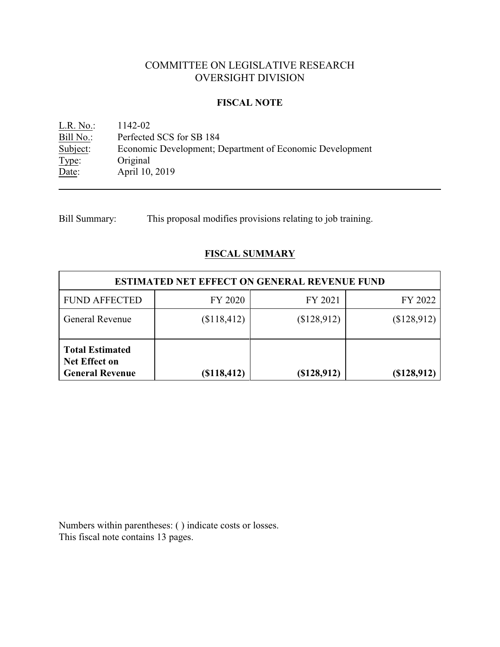# COMMITTEE ON LEGISLATIVE RESEARCH OVERSIGHT DIVISION

## **FISCAL NOTE**

<u>L.R. No.</u>: 1142-02<br>
<u>Bill No.</u>: Perfected Bill No.: Perfected SCS for SB 184<br>Subject: Economic Development; D Economic Development; Department of Economic Development Type: Original Date: April 10, 2019

Bill Summary: This proposal modifies provisions relating to job training.

# **FISCAL SUMMARY**

| <b>ESTIMATED NET EFFECT ON GENERAL REVENUE FUND</b>                      |             |                |             |  |
|--------------------------------------------------------------------------|-------------|----------------|-------------|--|
| <b>FUND AFFECTED</b>                                                     | FY 2020     | FY 2021        | FY 2022     |  |
| <b>General Revenue</b>                                                   | \$118,412   | \$128,912)     | (\$128,912) |  |
| <b>Total Estimated</b><br><b>Net Effect on</b><br><b>General Revenue</b> | (\$118,412) | $($ \$128,912) | (\$128,912) |  |

Numbers within parentheses: ( ) indicate costs or losses. This fiscal note contains 13 pages.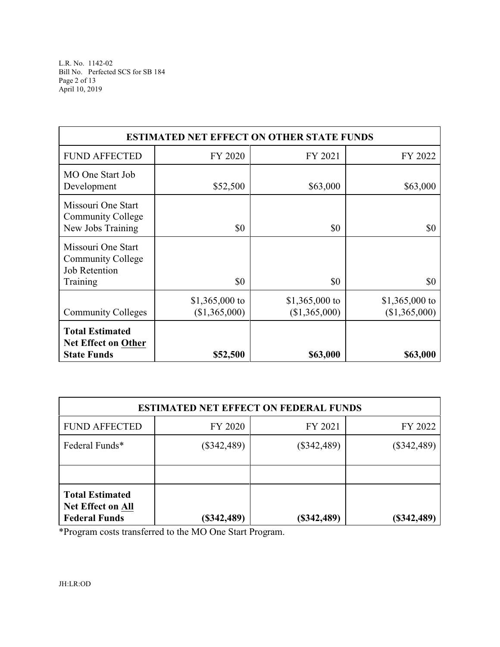| <b>ESTIMATED NET EFFECT ON OTHER STATE FUNDS</b>                                   |                                 |                                 |                                 |  |  |
|------------------------------------------------------------------------------------|---------------------------------|---------------------------------|---------------------------------|--|--|
| <b>FUND AFFECTED</b>                                                               | FY 2020                         | FY 2021                         | FY 2022                         |  |  |
| MO One Start Job<br>Development                                                    | \$52,500                        | \$63,000                        | \$63,000                        |  |  |
| Missouri One Start<br><b>Community College</b><br>New Jobs Training                | \$0                             | \$0                             | \$0                             |  |  |
| Missouri One Start<br><b>Community College</b><br><b>Job Retention</b><br>Training | \$0                             | \$0                             | \$0                             |  |  |
| <b>Community Colleges</b>                                                          | \$1,365,000 to<br>(\$1,365,000) | \$1,365,000 to<br>(\$1,365,000) | \$1,365,000 to<br>(\$1,365,000) |  |  |
| <b>Total Estimated</b><br><b>Net Effect on Other</b><br><b>State Funds</b>         | \$52,500                        | \$63,000                        | \$63,000                        |  |  |

| <b>ESTIMATED NET EFFECT ON FEDERAL FUNDS</b>                               |               |               |               |  |
|----------------------------------------------------------------------------|---------------|---------------|---------------|--|
| <b>FUND AFFECTED</b>                                                       | FY 2020       | FY 2021       | FY 2022       |  |
| Federal Funds*                                                             | $(\$342,489)$ | $(\$342,489)$ | $(\$342,489)$ |  |
|                                                                            |               |               |               |  |
| <b>Total Estimated</b><br><b>Net Effect on All</b><br><b>Federal Funds</b> | $(\$342,489)$ | $(\$342,489)$ | (\$342,489)   |  |

\*Program costs transferred to the MO One Start Program.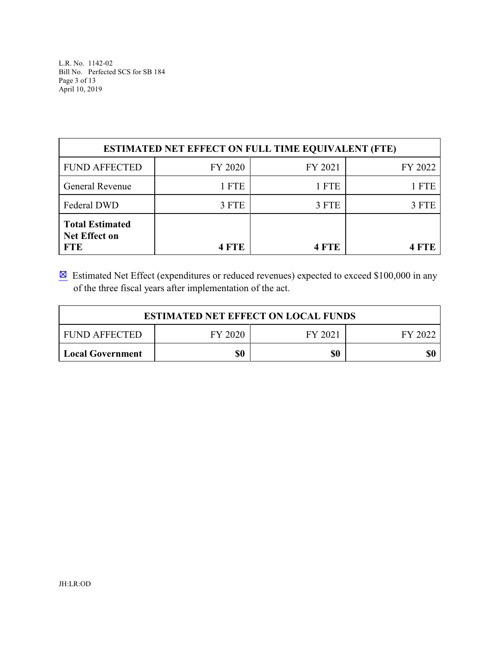L.R. No. 1142-02 Bill No. Perfected SCS for SB 184 Page 3 of 13 April 10, 2019

| <b>ESTIMATED NET EFFECT ON FULL TIME EQUIVALENT (FTE)</b>    |              |         |         |  |  |
|--------------------------------------------------------------|--------------|---------|---------|--|--|
| <b>FUND AFFECTED</b>                                         | FY 2020      | FY 2021 | FY 2022 |  |  |
| General Revenue                                              | 1 FTE        | 1 FTE   | 1 FTE   |  |  |
| Federal DWD                                                  | 3 FTE        | 3 FTE   | 3 FTE   |  |  |
| <b>Total Estimated</b><br><b>Net Effect on</b><br><b>FTE</b> | <b>4 FTE</b> | 4 FTE   |         |  |  |

 $\boxtimes$  Estimated Net Effect (expenditures or reduced revenues) expected to exceed \$100,000 in any of the three fiscal years after implementation of the act.

| <b>ESTIMATED NET EFFECT ON LOCAL FUNDS</b>            |  |  |  |  |  |
|-------------------------------------------------------|--|--|--|--|--|
| FY 2020<br><b>FUND AFFECTED</b><br>FY 2021<br>FY 2022 |  |  |  |  |  |
| \$0<br>\$0<br>\$0<br>Local Government                 |  |  |  |  |  |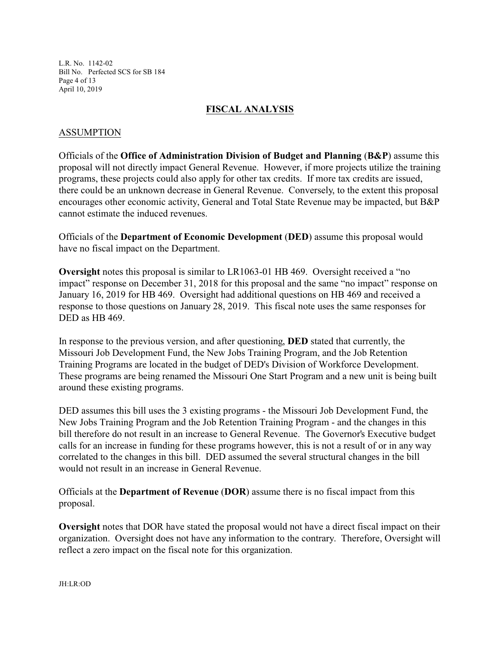L.R. No. 1142-02 Bill No. Perfected SCS for SB 184 Page 4 of 13 April 10, 2019

#### **FISCAL ANALYSIS**

### ASSUMPTION

Officials of the **Office of Administration Division of Budget and Planning** (**B&P**) assume this proposal will not directly impact General Revenue. However, if more projects utilize the training programs, these projects could also apply for other tax credits. If more tax credits are issued, there could be an unknown decrease in General Revenue. Conversely, to the extent this proposal encourages other economic activity, General and Total State Revenue may be impacted, but B&P cannot estimate the induced revenues.

Officials of the **Department of Economic Development** (**DED**) assume this proposal would have no fiscal impact on the Department.

**Oversight** notes this proposal is similar to LR1063-01 HB 469. Oversight received a "no impact" response on December 31, 2018 for this proposal and the same "no impact" response on January 16, 2019 for HB 469. Oversight had additional questions on HB 469 and received a response to those questions on January 28, 2019. This fiscal note uses the same responses for DED as HB 469.

In response to the previous version, and after questioning, **DED** stated that currently, the Missouri Job Development Fund, the New Jobs Training Program, and the Job Retention Training Programs are located in the budget of DED's Division of Workforce Development. These programs are being renamed the Missouri One Start Program and a new unit is being built around these existing programs.

DED assumes this bill uses the 3 existing programs - the Missouri Job Development Fund, the New Jobs Training Program and the Job Retention Training Program - and the changes in this bill therefore do not result in an increase to General Revenue. The Governor's Executive budget calls for an increase in funding for these programs however, this is not a result of or in any way correlated to the changes in this bill. DED assumed the several structural changes in the bill would not result in an increase in General Revenue.

Officials at the **Department of Revenue** (**DOR**) assume there is no fiscal impact from this proposal.

**Oversight** notes that DOR have stated the proposal would not have a direct fiscal impact on their organization. Oversight does not have any information to the contrary. Therefore, Oversight will reflect a zero impact on the fiscal note for this organization.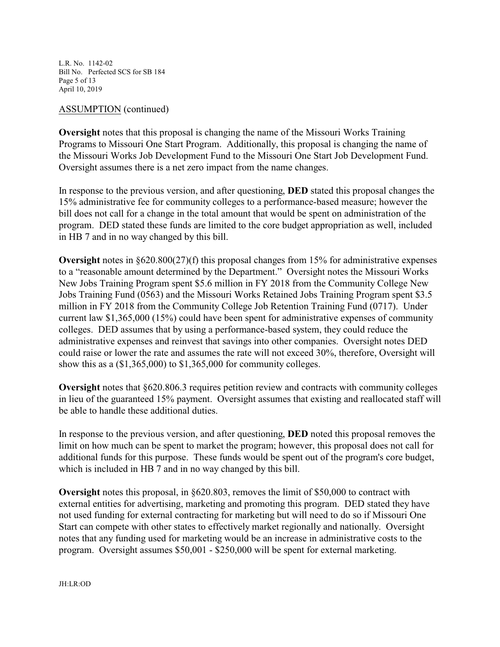L.R. No. 1142-02 Bill No. Perfected SCS for SB 184 Page 5 of 13 April 10, 2019

#### ASSUMPTION (continued)

**Oversight** notes that this proposal is changing the name of the Missouri Works Training Programs to Missouri One Start Program. Additionally, this proposal is changing the name of the Missouri Works Job Development Fund to the Missouri One Start Job Development Fund. Oversight assumes there is a net zero impact from the name changes.

In response to the previous version, and after questioning, **DED** stated this proposal changes the 15% administrative fee for community colleges to a performance-based measure; however the bill does not call for a change in the total amount that would be spent on administration of the program. DED stated these funds are limited to the core budget appropriation as well, included in HB 7 and in no way changed by this bill.

**Oversight** notes in §620.800(27)(f) this proposal changes from 15% for administrative expenses to a "reasonable amount determined by the Department." Oversight notes the Missouri Works New Jobs Training Program spent \$5.6 million in FY 2018 from the Community College New Jobs Training Fund (0563) and the Missouri Works Retained Jobs Training Program spent \$3.5 million in FY 2018 from the Community College Job Retention Training Fund (0717). Under current law \$1,365,000 (15%) could have been spent for administrative expenses of community colleges. DED assumes that by using a performance-based system, they could reduce the administrative expenses and reinvest that savings into other companies. Oversight notes DED could raise or lower the rate and assumes the rate will not exceed 30%, therefore, Oversight will show this as a (\$1,365,000) to \$1,365,000 for community colleges.

**Oversight** notes that §620.806.3 requires petition review and contracts with community colleges in lieu of the guaranteed 15% payment. Oversight assumes that existing and reallocated staff will be able to handle these additional duties.

In response to the previous version, and after questioning, **DED** noted this proposal removes the limit on how much can be spent to market the program; however, this proposal does not call for additional funds for this purpose. These funds would be spent out of the program's core budget, which is included in HB 7 and in no way changed by this bill.

**Oversight** notes this proposal, in §620.803, removes the limit of \$50,000 to contract with external entities for advertising, marketing and promoting this program. DED stated they have not used funding for external contracting for marketing but will need to do so if Missouri One Start can compete with other states to effectively market regionally and nationally. Oversight notes that any funding used for marketing would be an increase in administrative costs to the program. Oversight assumes \$50,001 - \$250,000 will be spent for external marketing.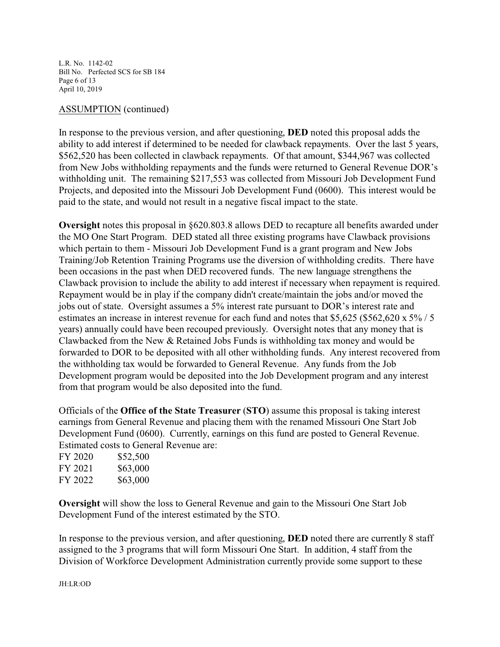L.R. No. 1142-02 Bill No. Perfected SCS for SB 184 Page 6 of 13 April 10, 2019

#### ASSUMPTION (continued)

In response to the previous version, and after questioning, **DED** noted this proposal adds the ability to add interest if determined to be needed for clawback repayments. Over the last 5 years, \$562,520 has been collected in clawback repayments. Of that amount, \$344,967 was collected from New Jobs withholding repayments and the funds were returned to General Revenue DOR's withholding unit. The remaining \$217,553 was collected from Missouri Job Development Fund Projects, and deposited into the Missouri Job Development Fund (0600). This interest would be paid to the state, and would not result in a negative fiscal impact to the state.

**Oversight** notes this proposal in §620.803.8 allows DED to recapture all benefits awarded under the MO One Start Program. DED stated all three existing programs have Clawback provisions which pertain to them - Missouri Job Development Fund is a grant program and New Jobs Training/Job Retention Training Programs use the diversion of withholding credits. There have been occasions in the past when DED recovered funds. The new language strengthens the Clawback provision to include the ability to add interest if necessary when repayment is required. Repayment would be in play if the company didn't create/maintain the jobs and/or moved the jobs out of state. Oversight assumes a 5% interest rate pursuant to DOR's interest rate and estimates an increase in interest revenue for each fund and notes that \$5,625 (\$562,620 x 5% / 5 years) annually could have been recouped previously. Oversight notes that any money that is Clawbacked from the New & Retained Jobs Funds is withholding tax money and would be forwarded to DOR to be deposited with all other withholding funds. Any interest recovered from the withholding tax would be forwarded to General Revenue. Any funds from the Job Development program would be deposited into the Job Development program and any interest from that program would be also deposited into the fund.

Officials of the **Office of the State Treasurer** (**STO**) assume this proposal is taking interest earnings from General Revenue and placing them with the renamed Missouri One Start Job Development Fund (0600). Currently, earnings on this fund are posted to General Revenue. Estimated costs to General Revenue are:

| FY 2020 | \$52,500 |
|---------|----------|
| FY 2021 | \$63,000 |
| FY 2022 | \$63,000 |

**Oversight** will show the loss to General Revenue and gain to the Missouri One Start Job Development Fund of the interest estimated by the STO.

In response to the previous version, and after questioning, **DED** noted there are currently 8 staff assigned to the 3 programs that will form Missouri One Start. In addition, 4 staff from the Division of Workforce Development Administration currently provide some support to these

JH:LR:OD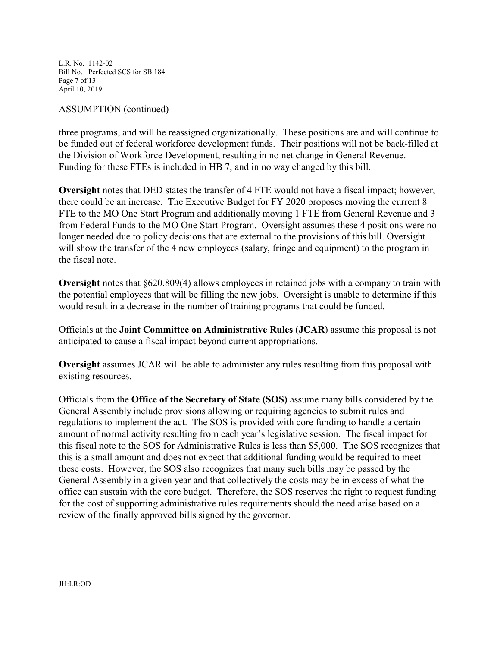L.R. No. 1142-02 Bill No. Perfected SCS for SB 184 Page 7 of 13 April 10, 2019

#### ASSUMPTION (continued)

three programs, and will be reassigned organizationally. These positions are and will continue to be funded out of federal workforce development funds. Their positions will not be back-filled at the Division of Workforce Development, resulting in no net change in General Revenue. Funding for these FTEs is included in HB 7, and in no way changed by this bill.

**Oversight** notes that DED states the transfer of 4 FTE would not have a fiscal impact; however, there could be an increase. The Executive Budget for FY 2020 proposes moving the current 8 FTE to the MO One Start Program and additionally moving 1 FTE from General Revenue and 3 from Federal Funds to the MO One Start Program. Oversight assumes these 4 positions were no longer needed due to policy decisions that are external to the provisions of this bill. Oversight will show the transfer of the 4 new employees (salary, fringe and equipment) to the program in the fiscal note.

**Oversight** notes that §620.809(4) allows employees in retained jobs with a company to train with the potential employees that will be filling the new jobs. Oversight is unable to determine if this would result in a decrease in the number of training programs that could be funded.

Officials at the **Joint Committee on Administrative Rules** (**JCAR**) assume this proposal is not anticipated to cause a fiscal impact beyond current appropriations.

**Oversight** assumes JCAR will be able to administer any rules resulting from this proposal with existing resources.

Officials from the **Office of the Secretary of State (SOS)** assume many bills considered by the General Assembly include provisions allowing or requiring agencies to submit rules and regulations to implement the act. The SOS is provided with core funding to handle a certain amount of normal activity resulting from each year's legislative session. The fiscal impact for this fiscal note to the SOS for Administrative Rules is less than \$5,000. The SOS recognizes that this is a small amount and does not expect that additional funding would be required to meet these costs. However, the SOS also recognizes that many such bills may be passed by the General Assembly in a given year and that collectively the costs may be in excess of what the office can sustain with the core budget. Therefore, the SOS reserves the right to request funding for the cost of supporting administrative rules requirements should the need arise based on a review of the finally approved bills signed by the governor.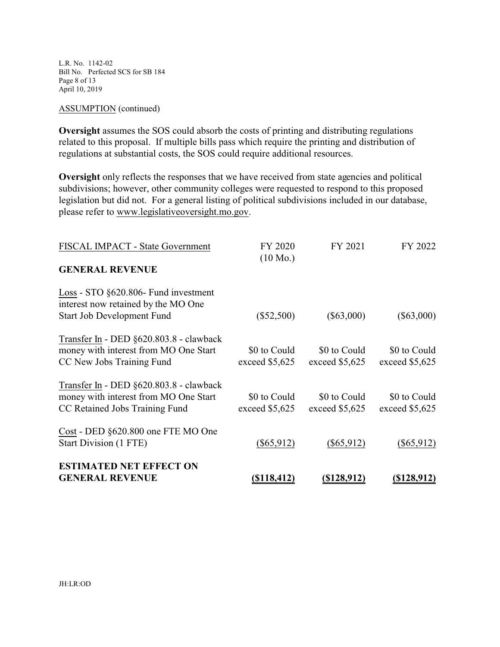L.R. No. 1142-02 Bill No. Perfected SCS for SB 184 Page 8 of 13 April 10, 2019

#### ASSUMPTION (continued)

**Oversight** assumes the SOS could absorb the costs of printing and distributing regulations related to this proposal. If multiple bills pass which require the printing and distribution of regulations at substantial costs, the SOS could require additional resources.

**Oversight** only reflects the responses that we have received from state agencies and political subdivisions; however, other community colleges were requested to respond to this proposed legislation but did not. For a general listing of political subdivisions included in our database, please refer to www.legislativeoversight.mo.gov.

| FISCAL IMPACT - State Government                                                                                   | FY 2020<br>$(10 \text{ Mo.})$   | FY 2021                         | FY 2022                         |
|--------------------------------------------------------------------------------------------------------------------|---------------------------------|---------------------------------|---------------------------------|
| <b>GENERAL REVENUE</b>                                                                                             |                                 |                                 |                                 |
| Loss - STO §620.806- Fund investment<br>interest now retained by the MO One<br><b>Start Job Development Fund</b>   | $(\$52,500)$                    | $(\$63,000)$                    | $(\$63,000)$                    |
| Transfer In - DED §620.803.8 - clawback<br>money with interest from MO One Start<br>CC New Jobs Training Fund      | \$0 to Could<br>exceed \$5,625  | \$0 to Could<br>exceed $$5,625$ | \$0 to Could<br>exceed $$5,625$ |
| Transfer In - DED §620.803.8 - clawback<br>money with interest from MO One Start<br>CC Retained Jobs Training Fund | \$0 to Could<br>exceed $$5,625$ | \$0 to Could<br>exceed $$5,625$ | \$0 to Could<br>exceed $$5,625$ |
| Cost - DED §620.800 one FTE MO One<br>Start Division (1 FTE)                                                       | $(\$65,912)$                    | $(\$65,912)$                    | $(\$65,912)$                    |
| <b>ESTIMATED NET EFFECT ON</b><br><b>GENERAL REVENUE</b>                                                           | <u>(\$118,412)</u>              | <u>(\$128,912)</u>              | <u>(\$128,912)</u>              |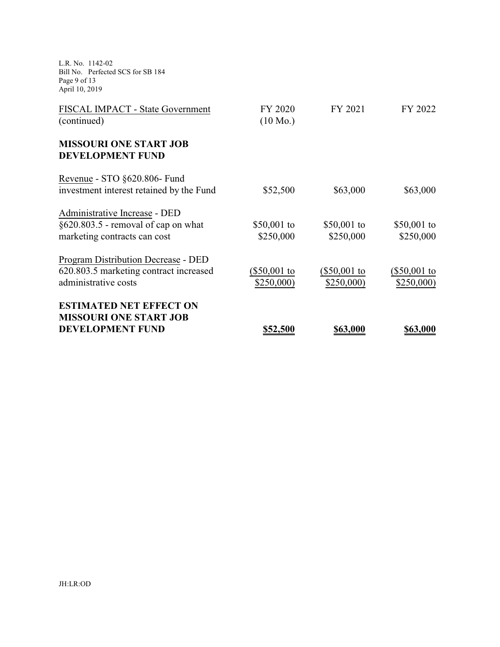L.R. No. 1142-02 Bill No. Perfected SCS for SB 184 Page 9 of 13 April 10, 2019

| <b>MISSOURI ONE START JOB</b><br><b>DEVELOPMENT FUND</b> | \$52,500                      | \$63,000       | \$63,000     |
|----------------------------------------------------------|-------------------------------|----------------|--------------|
| <b>ESTIMATED NET EFFECT ON</b>                           |                               |                |              |
| administrative costs                                     | \$250,000)                    | \$250,000      | \$250,000    |
| 620.803.5 marketing contract increased                   | $(\$50,001$ to                | $(\$50,001$ to | (\$50,001 to |
| Program Distribution Decrease - DED                      |                               |                |              |
| marketing contracts can cost                             | \$250,000                     | \$250,000      | \$250,000    |
| $§620.803.5$ - removal of cap on what                    | \$50,001 to                   | \$50,001 to    | \$50,001 to  |
| Administrative Increase - DED                            |                               |                |              |
| investment interest retained by the Fund                 | \$52,500                      | \$63,000       | \$63,000     |
| Revenue - STO §620.806- Fund                             |                               |                |              |
| <b>MISSOURI ONE START JOB</b><br><b>DEVELOPMENT FUND</b> |                               |                |              |
|                                                          |                               |                |              |
| FISCAL IMPACT - State Government<br>(continued)          | FY 2020<br>$(10 \text{ Mo.})$ | FY 2021        | FY 2022      |
|                                                          |                               |                |              |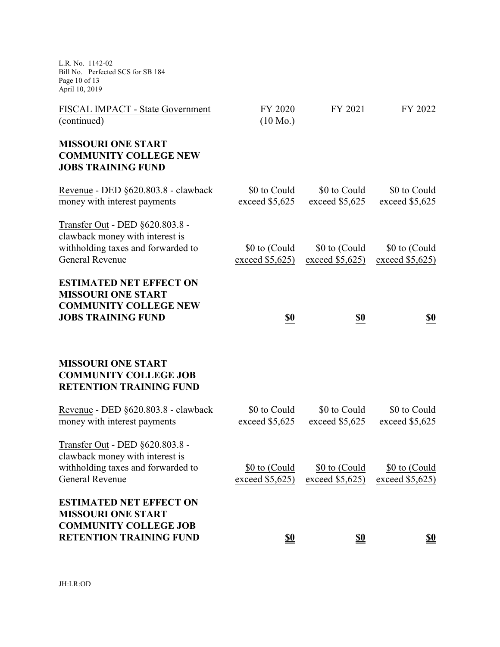L.R. No. 1142-02 Bill No. Perfected SCS for SB 184 Page 10 of 13 April 10, 2019

| <b>ESTIMATED NET EFFECT ON</b><br><b>MISSOURI ONE START</b><br><b>COMMUNITY COLLEGE JOB</b><br><b>RETENTION TRAINING FUND</b>      | <u>\$0</u>                       | <u>\$0</u>                       | <u>\$0</u>                         |
|------------------------------------------------------------------------------------------------------------------------------------|----------------------------------|----------------------------------|------------------------------------|
| Transfer Out - DED §620.803.8 -<br>clawback money with interest is<br>withholding taxes and forwarded to<br>General Revenue        | \$0 to (Could<br>exceed $$5,625$ | \$0 to (Could<br>exceed $$5,625$ | \$0 to (Could<br>exceed $$5,625$   |
| Revenue - DED §620.803.8 - clawback<br>money with interest payments                                                                | \$0 to Could<br>exceed \$5,625   | \$0 to Could<br>exceed \$5,625   | \$0 to Could<br>exceed \$5,625     |
| <b>MISSOURI ONE START</b><br><b>COMMUNITY COLLEGE JOB</b><br><b>RETENTION TRAINING FUND</b>                                        |                                  |                                  |                                    |
| <b>ESTIMATED NET EFFECT ON</b><br><b>MISSOURI ONE START</b><br><b>COMMUNITY COLLEGE NEW</b><br><b>JOBS TRAINING FUND</b>           | <u>\$0</u>                       | <u>\$0</u>                       | <u>\$0</u>                         |
| Transfer Out - DED §620.803.8 -<br>clawback money with interest is<br>withholding taxes and forwarded to<br><b>General Revenue</b> | \$0 to (Could<br>exceed \$5,625) | \$0 to (Could<br>exceed \$5,625) | \$0 to (Could<br>exceed $$5,625$ ) |
| Revenue - DED §620.803.8 - clawback<br>money with interest payments                                                                | \$0 to Could<br>exceed \$5,625   | \$0 to Could<br>exceed \$5,625   | \$0 to Could<br>exceed \$5,625     |
| <b>MISSOURI ONE START</b><br><b>COMMUNITY COLLEGE NEW</b><br><b>JOBS TRAINING FUND</b>                                             |                                  |                                  |                                    |
| FISCAL IMPACT - State Government<br>(continued)                                                                                    | FY 2020<br>$(10 \text{ Mo.})$    | FY 2021                          | FY 2022                            |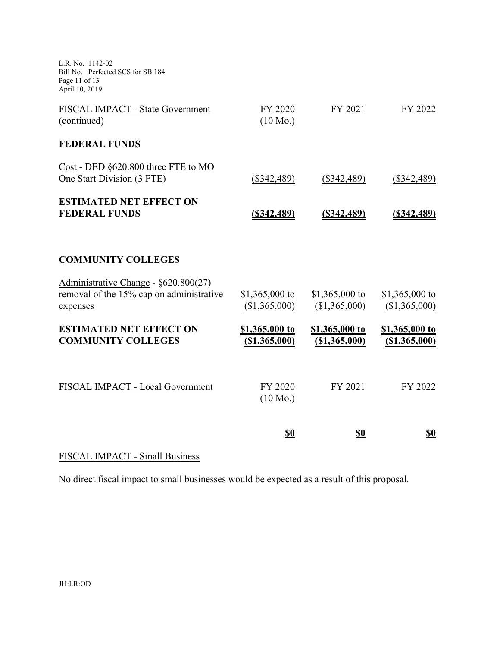L.R. No. 1142-02 Bill No. Perfected SCS for SB 184 Page 11 of 13 April 10, 2019

| FISCAL IMPACT - State Government<br>(continued)                                              | FY 2020<br>$(10 \text{ Mo.})$          | FY 2021                            | FY 2022                         |
|----------------------------------------------------------------------------------------------|----------------------------------------|------------------------------------|---------------------------------|
| <b>FEDERAL FUNDS</b>                                                                         |                                        |                                    |                                 |
| Cost - DED §620.800 three FTE to MO<br>One Start Division (3 FTE)                            | $(\$342,489)$                          | $(\$342,489)$                      | $(\$342,489)$                   |
| <b>ESTIMATED NET EFFECT ON</b><br><b>FEDERAL FUNDS</b>                                       | <u>(\$342,489)</u>                     | <u>(\$342,489)</u>                 | $($ \$342,489)                  |
| <b>COMMUNITY COLLEGES</b>                                                                    |                                        |                                    |                                 |
| Administrative Change - §620.800(27)<br>removal of the 15% cap on administrative<br>expenses | \$1,365,000 to<br>(\$1,365,000)        | $$1,365,000$ to<br>(\$1,365,000)   | \$1,365,000 to<br>(\$1,365,000) |
| <b>ESTIMATED NET EFFECT ON</b><br><b>COMMUNITY COLLEGES</b>                                  | \$1,365,000 to<br><u>(\$1,365,000)</u> | \$1,365,000 to<br>$($ \$1,365,000) | \$1,365,000 to<br>(\$1,365,000) |
| FISCAL IMPACT - Local Government                                                             | FY 2020<br>$(10 \text{ Mo.})$          | FY 2021                            | FY 2022                         |
|                                                                                              | <u>\$0</u>                             | <u>\$0</u>                         | <u>\$0</u>                      |

# FISCAL IMPACT - Small Business

No direct fiscal impact to small businesses would be expected as a result of this proposal.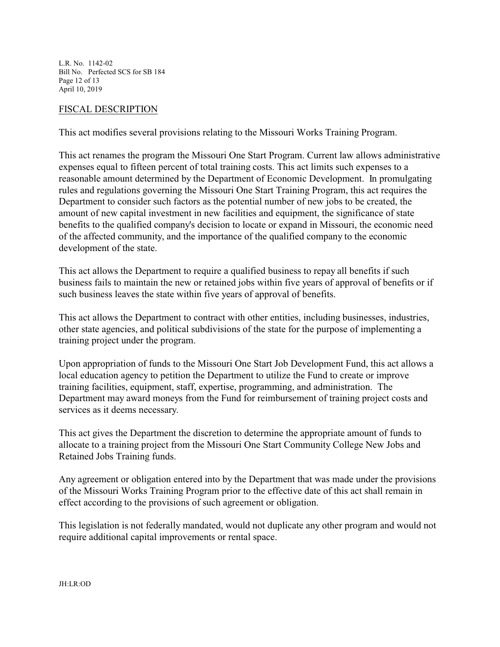L.R. No. 1142-02 Bill No. Perfected SCS for SB 184 Page 12 of 13 April 10, 2019

#### FISCAL DESCRIPTION

This act modifies several provisions relating to the Missouri Works Training Program.

This act renames the program the Missouri One Start Program. Current law allows administrative expenses equal to fifteen percent of total training costs. This act limits such expenses to a reasonable amount determined by the Department of Economic Development. In promulgating rules and regulations governing the Missouri One Start Training Program, this act requires the Department to consider such factors as the potential number of new jobs to be created, the amount of new capital investment in new facilities and equipment, the significance of state benefits to the qualified company's decision to locate or expand in Missouri, the economic need of the affected community, and the importance of the qualified company to the economic development of the state.

This act allows the Department to require a qualified business to repay all benefits if such business fails to maintain the new or retained jobs within five years of approval of benefits or if such business leaves the state within five years of approval of benefits.

This act allows the Department to contract with other entities, including businesses, industries, other state agencies, and political subdivisions of the state for the purpose of implementing a training project under the program.

Upon appropriation of funds to the Missouri One Start Job Development Fund, this act allows a local education agency to petition the Department to utilize the Fund to create or improve training facilities, equipment, staff, expertise, programming, and administration. The Department may award moneys from the Fund for reimbursement of training project costs and services as it deems necessary.

This act gives the Department the discretion to determine the appropriate amount of funds to allocate to a training project from the Missouri One Start Community College New Jobs and Retained Jobs Training funds.

Any agreement or obligation entered into by the Department that was made under the provisions of the Missouri Works Training Program prior to the effective date of this act shall remain in effect according to the provisions of such agreement or obligation.

This legislation is not federally mandated, would not duplicate any other program and would not require additional capital improvements or rental space.